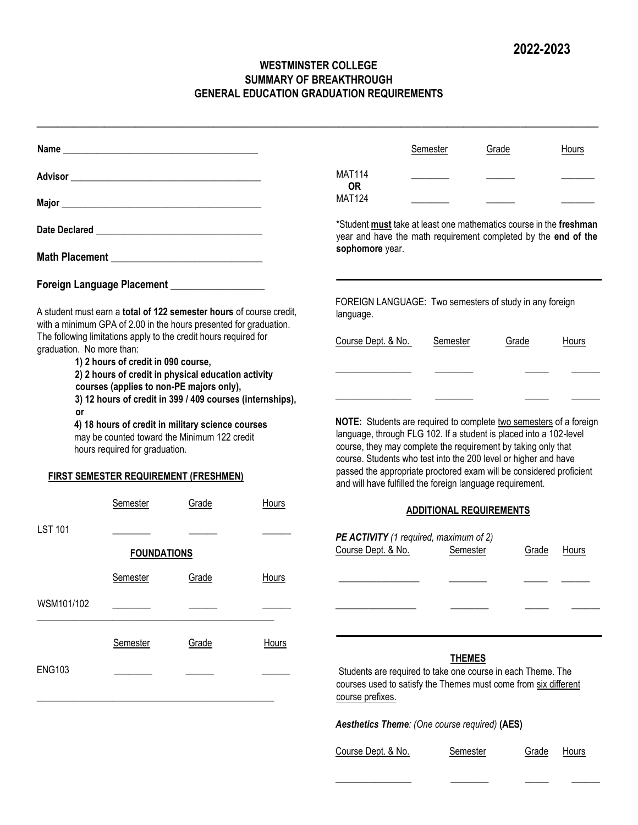## **WESTMINSTER COLLEGE SUMMARY OF BREAKTHROUGH GENERAL EDUCATION GRADUATION REQUIREMENTS**

**\_\_\_\_\_\_\_\_\_\_\_\_\_\_\_\_\_\_\_\_\_\_\_\_\_\_\_\_\_\_\_\_\_\_\_\_\_\_\_\_\_\_\_\_\_\_\_\_\_\_\_\_\_\_\_\_\_\_\_\_\_\_\_\_\_\_\_\_\_\_\_\_\_\_\_\_\_\_\_\_\_\_\_\_\_\_\_\_\_\_\_\_\_\_\_\_\_\_\_\_\_\_\_\_\_\_\_\_** 

|                           |                                     |                                                                                                                                                              |       |                                                                                                                                                                                                                                                                                                                                                                                                                  | <b>Semester</b>                               | Grade                          | Hours                                                                                                                                |
|---------------------------|-------------------------------------|--------------------------------------------------------------------------------------------------------------------------------------------------------------|-------|------------------------------------------------------------------------------------------------------------------------------------------------------------------------------------------------------------------------------------------------------------------------------------------------------------------------------------------------------------------------------------------------------------------|-----------------------------------------------|--------------------------------|--------------------------------------------------------------------------------------------------------------------------------------|
|                           |                                     |                                                                                                                                                              |       | <b>MAT114</b><br><b>OR</b>                                                                                                                                                                                                                                                                                                                                                                                       |                                               |                                |                                                                                                                                      |
|                           |                                     |                                                                                                                                                              |       | <b>MAT124</b>                                                                                                                                                                                                                                                                                                                                                                                                    |                                               |                                |                                                                                                                                      |
|                           |                                     |                                                                                                                                                              |       |                                                                                                                                                                                                                                                                                                                                                                                                                  |                                               |                                | *Student must take at least one mathematics course in the freshman<br>year and have the math requirement completed by the end of the |
|                           |                                     |                                                                                                                                                              |       | sophomore year.                                                                                                                                                                                                                                                                                                                                                                                                  |                                               |                                |                                                                                                                                      |
|                           |                                     | Foreign Language Placement __________________                                                                                                                |       |                                                                                                                                                                                                                                                                                                                                                                                                                  |                                               |                                |                                                                                                                                      |
|                           |                                     | A student must earn a total of 122 semester hours of course credit,<br>with a minimum GPA of 2.00 in the hours presented for graduation.                     |       | FOREIGN LANGUAGE: Two semesters of study in any foreign<br>language.                                                                                                                                                                                                                                                                                                                                             |                                               |                                |                                                                                                                                      |
| graduation. No more than: |                                     | The following limitations apply to the credit hours required for                                                                                             |       | Course Dept. & No.                                                                                                                                                                                                                                                                                                                                                                                               | Semester                                      | Grade                          | Hours                                                                                                                                |
|                           | 1) 2 hours of credit in 090 course, | 2) 2 hours of credit in physical education activity<br>courses (applies to non-PE majors only),<br>3) 12 hours of credit in 399 / 409 courses (internships), |       |                                                                                                                                                                                                                                                                                                                                                                                                                  |                                               |                                |                                                                                                                                      |
| or                        | hours required for graduation.      | 4) 18 hours of credit in military science courses<br>may be counted toward the Minimum 122 credit<br><b>FIRST SEMESTER REQUIREMENT (FRESHMEN)</b>            |       | NOTE: Students are required to complete two semesters of a foreign<br>language, through FLG 102. If a student is placed into a 102-level<br>course, they may complete the requirement by taking only that<br>course. Students who test into the 200 level or higher and have<br>passed the appropriate proctored exam will be considered proficient<br>and will have fulfilled the foreign language requirement. |                                               |                                |                                                                                                                                      |
|                           | Semester                            | Grade                                                                                                                                                        | Hours |                                                                                                                                                                                                                                                                                                                                                                                                                  |                                               | <b>ADDITIONAL REQUIREMENTS</b> |                                                                                                                                      |
| <b>LST 101</b>            | <b>FOUNDATIONS</b>                  |                                                                                                                                                              |       | PE ACTIVITY (1 required, maximum of 2)<br>Course Dept. & No.                                                                                                                                                                                                                                                                                                                                                     |                                               | Semester                       | Grade<br>Hours                                                                                                                       |
|                           | Semester                            | Grade                                                                                                                                                        | Hours |                                                                                                                                                                                                                                                                                                                                                                                                                  |                                               |                                |                                                                                                                                      |
| WSM101/102                |                                     |                                                                                                                                                              |       |                                                                                                                                                                                                                                                                                                                                                                                                                  |                                               |                                |                                                                                                                                      |
|                           | Semester                            | Grade                                                                                                                                                        | Hours |                                                                                                                                                                                                                                                                                                                                                                                                                  |                                               |                                |                                                                                                                                      |
| <b>ENG103</b>             |                                     |                                                                                                                                                              |       | Students are required to take one course in each Theme. The<br>courses used to satisfy the Themes must come from six different<br>course prefixes.                                                                                                                                                                                                                                                               |                                               | <b>THEMES</b>                  |                                                                                                                                      |
|                           |                                     |                                                                                                                                                              |       |                                                                                                                                                                                                                                                                                                                                                                                                                  | Aesthetics Theme: (One course required) (AES) |                                |                                                                                                                                      |
|                           |                                     |                                                                                                                                                              |       | Course Dept. & No.                                                                                                                                                                                                                                                                                                                                                                                               |                                               | <b>Semester</b>                | Hours<br>Grade                                                                                                                       |
|                           |                                     |                                                                                                                                                              |       |                                                                                                                                                                                                                                                                                                                                                                                                                  |                                               |                                |                                                                                                                                      |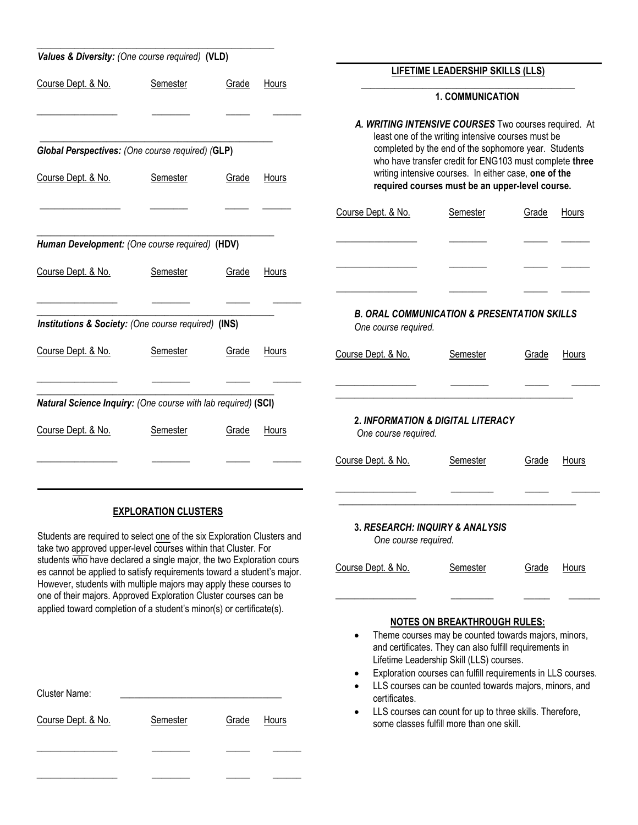| Values & Diversity: (One course required) (VLD)                                                                                                                                                                                                                                         |                             |       |       |                                                                                |                                                                                                                                                                                                                                                                                                                              |              |              |
|-----------------------------------------------------------------------------------------------------------------------------------------------------------------------------------------------------------------------------------------------------------------------------------------|-----------------------------|-------|-------|--------------------------------------------------------------------------------|------------------------------------------------------------------------------------------------------------------------------------------------------------------------------------------------------------------------------------------------------------------------------------------------------------------------------|--------------|--------------|
|                                                                                                                                                                                                                                                                                         |                             |       |       |                                                                                | LIFETIME LEADERSHIP SKILLS (LLS)                                                                                                                                                                                                                                                                                             |              |              |
| Course Dept. & No.                                                                                                                                                                                                                                                                      | Semester                    | Grade | Hours |                                                                                | <b>1. COMMUNICATION</b>                                                                                                                                                                                                                                                                                                      |              |              |
|                                                                                                                                                                                                                                                                                         |                             |       |       | A. WRITING INTENSIVE COURSES Two courses required. At                          |                                                                                                                                                                                                                                                                                                                              |              |              |
| Global Perspectives: (One course required) (GLP)                                                                                                                                                                                                                                        |                             |       |       |                                                                                | least one of the writing intensive courses must be<br>completed by the end of the sophomore year. Students                                                                                                                                                                                                                   |              |              |
| Course Dept. & No.                                                                                                                                                                                                                                                                      | Semester                    | Grade | Hours |                                                                                | who have transfer credit for ENG103 must complete three<br>writing intensive courses. In either case, one of the<br>required courses must be an upper-level course.                                                                                                                                                          |              |              |
|                                                                                                                                                                                                                                                                                         |                             |       |       | Course Dept. & No.                                                             | Semester                                                                                                                                                                                                                                                                                                                     | Grade        | Hours        |
| Human Development: (One course required) (HDV)                                                                                                                                                                                                                                          |                             |       |       |                                                                                |                                                                                                                                                                                                                                                                                                                              |              |              |
| Course Dept. & No.                                                                                                                                                                                                                                                                      | Semester                    | Grade | Hours |                                                                                |                                                                                                                                                                                                                                                                                                                              |              |              |
| Institutions & Society: (One course required) (INS)                                                                                                                                                                                                                                     |                             |       |       | <b>B. ORAL COMMUNICATION &amp; PRESENTATION SKILLS</b><br>One course required. |                                                                                                                                                                                                                                                                                                                              |              |              |
| Course Dept. & No.                                                                                                                                                                                                                                                                      | Semester                    | Grade | Hours | Course Dept. & No.                                                             | Semester                                                                                                                                                                                                                                                                                                                     | Grade        | Hours        |
| Natural Science Inquiry: (One course with lab required) (SCI)                                                                                                                                                                                                                           |                             |       |       |                                                                                |                                                                                                                                                                                                                                                                                                                              |              |              |
| Course Dept. & No.                                                                                                                                                                                                                                                                      | Semester                    | Grade | Hours | <b>2. INFORMATION &amp; DIGITAL LITERACY</b><br>One course required.           |                                                                                                                                                                                                                                                                                                                              |              |              |
|                                                                                                                                                                                                                                                                                         |                             |       |       | Course Dept. & No.                                                             | Semester                                                                                                                                                                                                                                                                                                                     | Grade        | Hours        |
|                                                                                                                                                                                                                                                                                         | <b>EXPLORATION CLUSTERS</b> |       |       |                                                                                |                                                                                                                                                                                                                                                                                                                              |              |              |
| Students are required to select one of the six Exploration Clusters and<br>take two approved upper-level courses within that Cluster. For                                                                                                                                               |                             |       |       | 3. RESEARCH: INQUIRY & ANALYSIS<br>One course required.                        |                                                                                                                                                                                                                                                                                                                              |              |              |
| students who have declared a single major, the two Exploration cours<br>es cannot be applied to satisfy requirements toward a student's major.<br>However, students with multiple majors may apply these courses to<br>one of their majors. Approved Exploration Cluster courses can be |                             |       |       | Course Dept. & No.                                                             | <b>Semester</b>                                                                                                                                                                                                                                                                                                              | <b>Grade</b> | <u>Hours</u> |
| applied toward completion of a student's minor(s) or certificate(s).                                                                                                                                                                                                                    |                             |       |       |                                                                                |                                                                                                                                                                                                                                                                                                                              |              |              |
|                                                                                                                                                                                                                                                                                         |                             |       |       | ٠<br>$\bullet$<br>$\bullet$                                                    | <b>NOTES ON BREAKTHROUGH RULES:</b><br>Theme courses may be counted towards majors, minors,<br>and certificates. They can also fulfill requirements in<br>Lifetime Leadership Skill (LLS) courses.<br>Exploration courses can fulfill requirements in LLS courses.<br>LLS courses can be counted towards majors, minors, and |              |              |
| <b>Cluster Name:</b><br>Course Dept. & No.                                                                                                                                                                                                                                              | <b>Semester</b>             | Grade | Hours | certificates.<br>$\bullet$                                                     | LLS courses can count for up to three skills. Therefore,                                                                                                                                                                                                                                                                     |              |              |
|                                                                                                                                                                                                                                                                                         |                             |       |       |                                                                                | some classes fulfill more than one skill.                                                                                                                                                                                                                                                                                    |              |              |

\_\_\_\_\_\_\_\_\_\_\_\_\_\_\_\_\_ \_\_\_\_\_\_\_\_ \_\_\_\_\_ \_\_\_\_\_\_